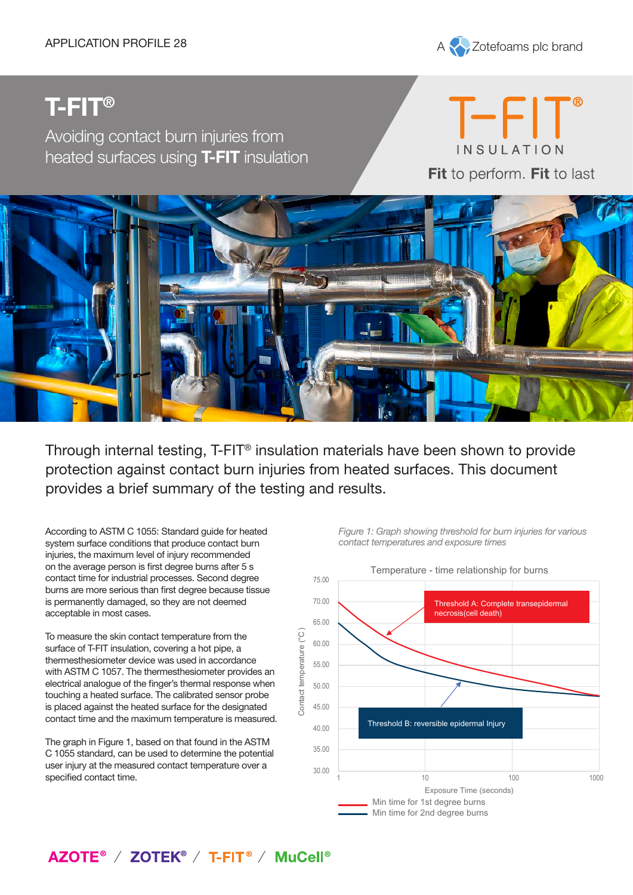

# **T-FIT®**

Avoiding contact burn injuries from heated surfaces using **T-FIT** insulation

T-FIT INSULATION Fit to perform. Fit to last



Through internal testing, T-FIT® insulation materials have been shown to provide protection against contact burn injuries from heated surfaces. This document provides a brief summary of the testing and results.

According to ASTM C 1055: Standard guide for heated system surface conditions that produce contact burn injuries, the maximum level of injury recommended on the average person is first degree burns after 5 s contact time for industrial processes. Second degree burns are more serious than first degree because tissue is permanently damaged, so they are not deemed acceptable in most cases.

To measure the skin contact temperature from the surface of T-FIT insulation, covering a hot pipe, a thermesthesiometer device was used in accordance with ASTM C 1057. The thermesthesiometer provides an electrical analogue of the finger's thermal response when touching a heated surface. The calibrated sensor probe is placed against the heated surface for the designated contact time and the maximum temperature is measured.

The graph in Figure 1, based on that found in the ASTM C 1055 standard, can be used to determine the potential user injury at the measured contact temperature over a specified contact time.

*Figure 1: Graph showing threshold for burn injuries for various contact temperatures and exposure times*



# AZOTE<sup>®</sup> / ZOTEK<sup>®</sup> / T-FIT<sup>®</sup> / MuCell<sup>®</sup>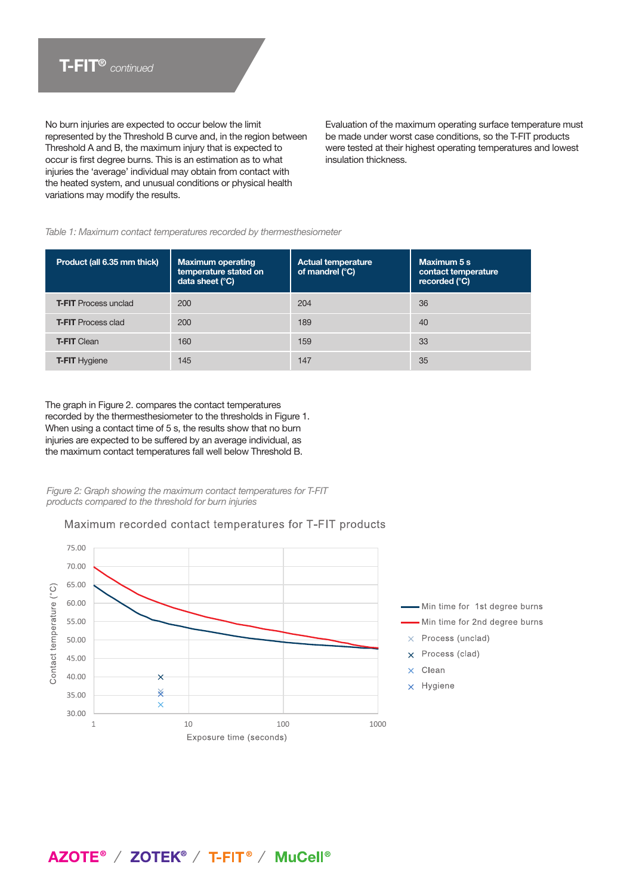No burn injuries are expected to occur below the limit represented by the Threshold B curve and, in the region between Threshold A and B, the maximum injury that is expected to occur is first degree burns. This is an estimation as to what injuries the 'average' individual may obtain from contact with the heated system, and unusual conditions or physical health variations may modify the results.

Evaluation of the maximum operating surface temperature must be made under worst case conditions, so the T-FIT products were tested at their highest operating temperatures and lowest insulation thickness.

#### *Table 1: Maximum contact temperatures recorded by thermesthesiometer*

| Product (all 6.35 mm thick) | <b>Maximum operating</b><br>temperature stated on<br>data sheet (°C) | <b>Actual temperature</b><br>of mandrel (°C) | Maximum 5 s<br>contact temperature<br>recorded (°C) |
|-----------------------------|----------------------------------------------------------------------|----------------------------------------------|-----------------------------------------------------|
| <b>T-FIT</b> Process unclad | 200                                                                  | 204                                          | 36                                                  |
| <b>T-FIT Process clad</b>   | 200                                                                  | 189                                          | 40                                                  |
| <b>T-FIT Clean</b>          | 160                                                                  | 159                                          | 33                                                  |
| <b>T-FIT Hygiene</b>        | 145                                                                  | 147                                          | 35                                                  |

The graph in Figure 2. compares the contact temperatures recorded by the thermesthesiometer to the thresholds in Figure 1. When using a contact time of 5 s, the results show that no burn injuries are expected to be suffered by an average individual, as the maximum contact temperatures fall well below Threshold B.

*Figure 2: Graph showing the maximum contact temperatures for T-FIT products compared to the threshold for burn injuries*

#### Maximum recorded contact temperatures for T-FIT products



# AZOTE<sup>®</sup> / ZOTEK<sup>®</sup> / T-FIT<sup>®</sup> / MuCell<sup>®</sup>